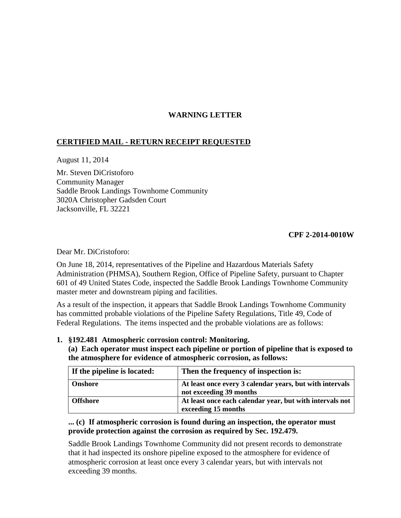## **WARNING LETTER**

## **CERTIFIED MAIL - RETURN RECEIPT REQUESTED**

August 11, 2014

Mr. Steven DiCristoforo Community Manager Saddle Brook Landings Townhome Community 3020A Christopher Gadsden Court Jacksonville, FL 32221

## **CPF 2-2014-0010W**

Dear Mr. DiCristoforo:

On June 18, 2014, representatives of the Pipeline and Hazardous Materials Safety Administration (PHMSA), Southern Region, Office of Pipeline Safety, pursuant to Chapter 601 of 49 United States Code, inspected the Saddle Brook Landings Townhome Community master meter and downstream piping and facilities.

As a result of the inspection, it appears that Saddle Brook Landings Townhome Community has committed probable violations of the Pipeline Safety Regulations, Title 49, Code of Federal Regulations. The items inspected and the probable violations are as follows:

- **1. §192.481 Atmospheric corrosion control: Monitoring.** 
	- **(a) Each operator must inspect each pipeline or portion of pipeline that is exposed to the atmosphere for evidence of atmospheric corrosion, as follows:**

| If the pipeline is located: | Then the frequency of inspection is:                                                |
|-----------------------------|-------------------------------------------------------------------------------------|
| <b>Onshore</b>              | At least once every 3 calendar years, but with intervals<br>not exceeding 39 months |
| <b>Offshore</b>             | At least once each calendar year, but with intervals not<br>exceeding 15 months     |

## **... (c) If atmospheric corrosion is found during an inspection, the operator must provide protection against the corrosion as required by Sec. 192.479.**

Saddle Brook Landings Townhome Community did not present records to demonstrate that it had inspected its onshore pipeline exposed to the atmosphere for evidence of atmospheric corrosion at least once every 3 calendar years, but with intervals not exceeding 39 months.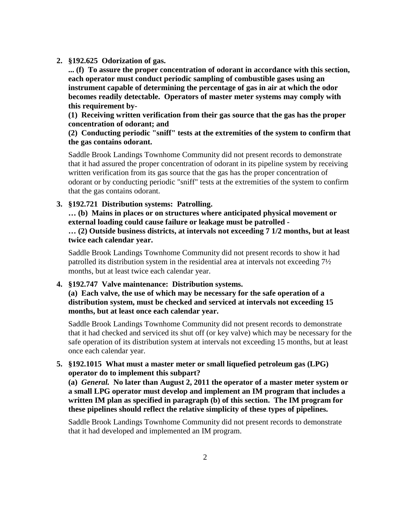**2. §192.625 Odorization of gas.**

**... (f) To assure the proper concentration of odorant in accordance with this section, each operator must conduct periodic sampling of combustible gases using an instrument capable of determining the percentage of gas in air at which the odor becomes readily detectable. Operators of master meter systems may comply with this requirement by-**

**(1) Receiving written verification from their gas source that the gas has the proper concentration of odorant; and** 

**(2) Conducting periodic "sniff" tests at the extremities of the system to confirm that the gas contains odorant.**

Saddle Brook Landings Townhome Community did not present records to demonstrate that it had assured the proper concentration of odorant in its pipeline system by receiving written verification from its gas source that the gas has the proper concentration of odorant or by conducting periodic "sniff" tests at the extremities of the system to confirm that the gas contains odorant.

**3. §192.721 Distribution systems: Patrolling.** 

**… (b) Mains in places or on structures where anticipated physical movement or external loading could cause failure or leakage must be patrolled - … (2) Outside business districts, at intervals not exceeding 7 1/2 months, but at least twice each calendar year.**

Saddle Brook Landings Townhome Community did not present records to show it had patrolled its distribution system in the residential area at intervals not exceeding 7½ months, but at least twice each calendar year.

**4. §192.747 Valve maintenance: Distribution systems.** 

**(a) Each valve, the use of which may be necessary for the safe operation of a distribution system, must be checked and serviced at intervals not exceeding 15 months, but at least once each calendar year.**

Saddle Brook Landings Townhome Community did not present records to demonstrate that it had checked and serviced its shut off (or key valve) which may be necessary for the safe operation of its distribution system at intervals not exceeding 15 months, but at least once each calendar year.

**5. §192.1015 What must a master meter or small liquefied petroleum gas (LPG) operator do to implement this subpart?**

**(a)** *General.* **No later than August 2, 2011 the operator of a master meter system or a small LPG operator must develop and implement an IM program that includes a written IM plan as specified in paragraph (b) of this section. The IM program for these pipelines should reflect the relative simplicity of these types of pipelines.**

Saddle Brook Landings Townhome Community did not present records to demonstrate that it had developed and implemented an IM program.